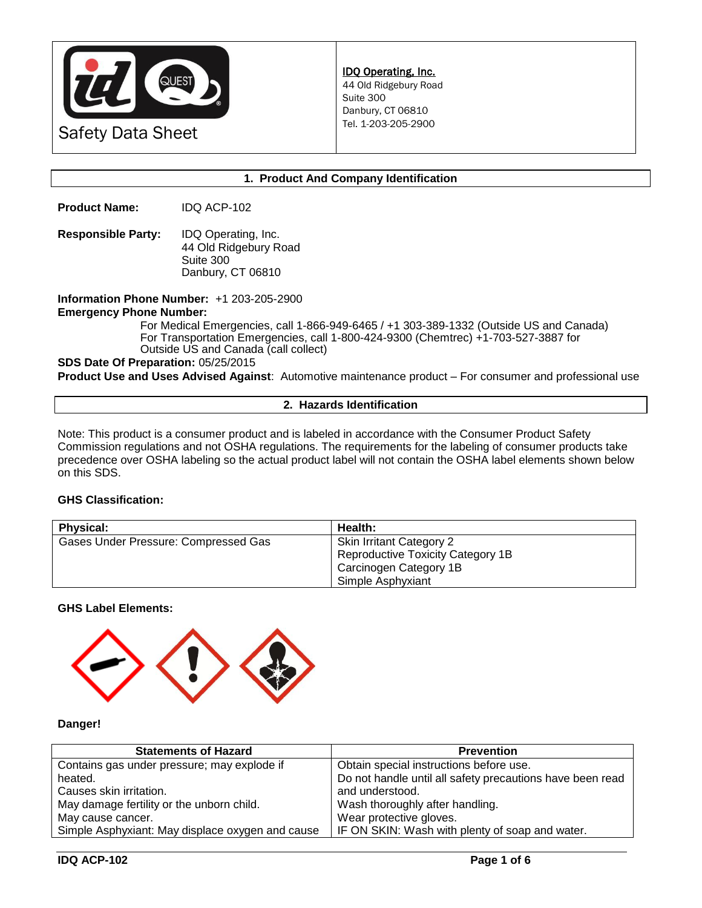

# **1. Product And Company Identification**

**Product Name:** IDQ ACP-102

**Responsible Party:** IDQ Operating, Inc. 44 Old Ridgebury Road Suite 300 Danbury, CT 06810

**Information Phone Number:** +1 203-205-2900 **Emergency Phone Number:** 

For Medical Emergencies, call 1-866-949-6465 / +1 303-389-1332 (Outside US and Canada) For Transportation Emergencies, call 1-800-424-9300 (Chemtrec) +1-703-527-3887 for Outside US and Canada (call collect)

**SDS Date Of Preparation:** 05/25/2015

**Product Use and Uses Advised Against**: Automotive maintenance product – For consumer and professional use

# **2. Hazards Identification**

Note: This product is a consumer product and is labeled in accordance with the Consumer Product Safety Commission regulations and not OSHA regulations. The requirements for the labeling of consumer products take precedence over OSHA labeling so the actual product label will not contain the OSHA label elements shown below on this SDS.

## **GHS Classification:**

| <b>Physical:</b>                     | Health:                           |
|--------------------------------------|-----------------------------------|
| Gases Under Pressure: Compressed Gas | <b>Skin Irritant Category 2</b>   |
|                                      | Reproductive Toxicity Category 1B |
|                                      | Carcinogen Category 1B            |
|                                      | Simple Asphyxiant                 |

**GHS Label Elements:** 



#### **Danger!**

| <b>Statements of Hazard</b>                      | <b>Prevention</b>                                         |
|--------------------------------------------------|-----------------------------------------------------------|
| Contains gas under pressure; may explode if      | Obtain special instructions before use.                   |
| heated.                                          | Do not handle until all safety precautions have been read |
| Causes skin irritation.                          | and understood.                                           |
| May damage fertility or the unborn child.        | Wash thoroughly after handling.                           |
| May cause cancer.                                | Wear protective gloves.                                   |
| Simple Asphyxiant: May displace oxygen and cause | IF ON SKIN: Wash with plenty of soap and water.           |
|                                                  |                                                           |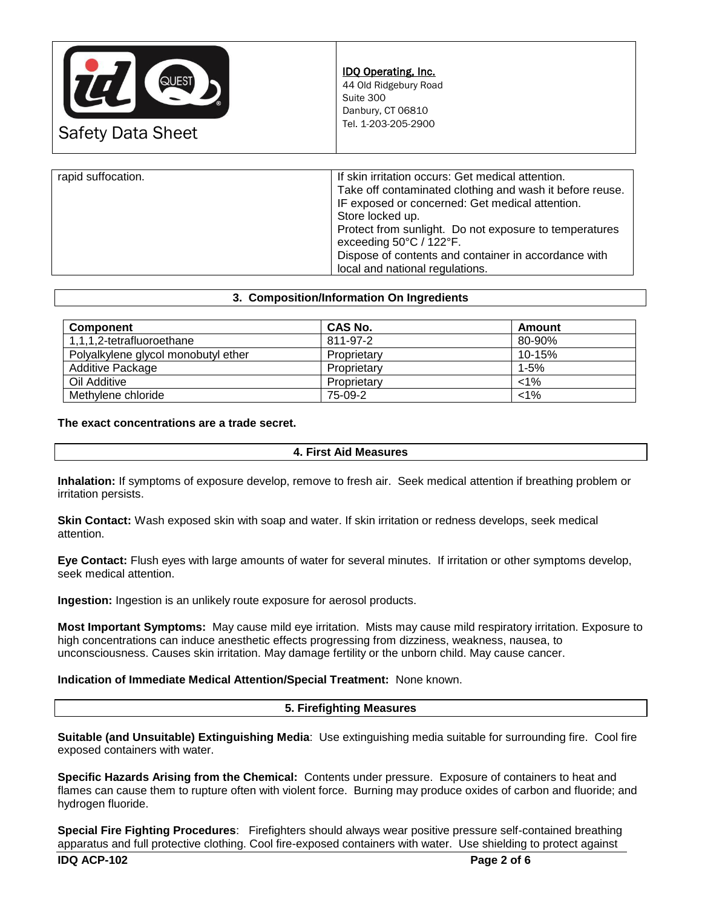

| Take off contaminated clothing and wash it before reuse.<br>IF exposed or concerned: Get medical attention.                                                                                      |
|--------------------------------------------------------------------------------------------------------------------------------------------------------------------------------------------------|
| Store locked up.<br>Protect from sunlight. Do not exposure to temperatures<br>exceeding 50°C / 122°F.<br>Dispose of contents and container in accordance with<br>local and national regulations. |
|                                                                                                                                                                                                  |

#### **3. Composition/Information On Ingredients**

| <b>Component</b>                    | <b>CAS No.</b> | Amount   |
|-------------------------------------|----------------|----------|
| 1,1,1,2-tetrafluoroethane           | 811-97-2       | 80-90%   |
| Polyalkylene glycol monobutyl ether | Proprietary    | 10-15%   |
| Additive Package                    | Proprietary    | $1 - 5%$ |
| Oil Additive                        | Proprietary    | $< 1\%$  |
| Methylene chloride                  | 75-09-2        | $< 1\%$  |

**The exact concentrations are a trade secret.**

# **4. First Aid Measures**

**Inhalation:** If symptoms of exposure develop, remove to fresh air. Seek medical attention if breathing problem or irritation persists.

**Skin Contact:** Wash exposed skin with soap and water. If skin irritation or redness develops, seek medical attention.

**Eye Contact:** Flush eyes with large amounts of water for several minutes. If irritation or other symptoms develop, seek medical attention.

**Ingestion:** Ingestion is an unlikely route exposure for aerosol products.

**Most Important Symptoms:** May cause mild eye irritation. Mists may cause mild respiratory irritation. Exposure to high concentrations can induce anesthetic effects progressing from dizziness, weakness, nausea, to unconsciousness. Causes skin irritation. May damage fertility or the unborn child. May cause cancer.

## **Indication of Immediate Medical Attention/Special Treatment:** None known.

## **5. Firefighting Measures**

**Suitable (and Unsuitable) Extinguishing Media**: Use extinguishing media suitable for surrounding fire. Cool fire exposed containers with water.

**Specific Hazards Arising from the Chemical:** Contents under pressure. Exposure of containers to heat and flames can cause them to rupture often with violent force. Burning may produce oxides of carbon and fluoride; and hydrogen fluoride.

**Special Fire Fighting Procedures**: Firefighters should always wear positive pressure self-contained breathing apparatus and full protective clothing. Cool fire-exposed containers with water. Use shielding to protect against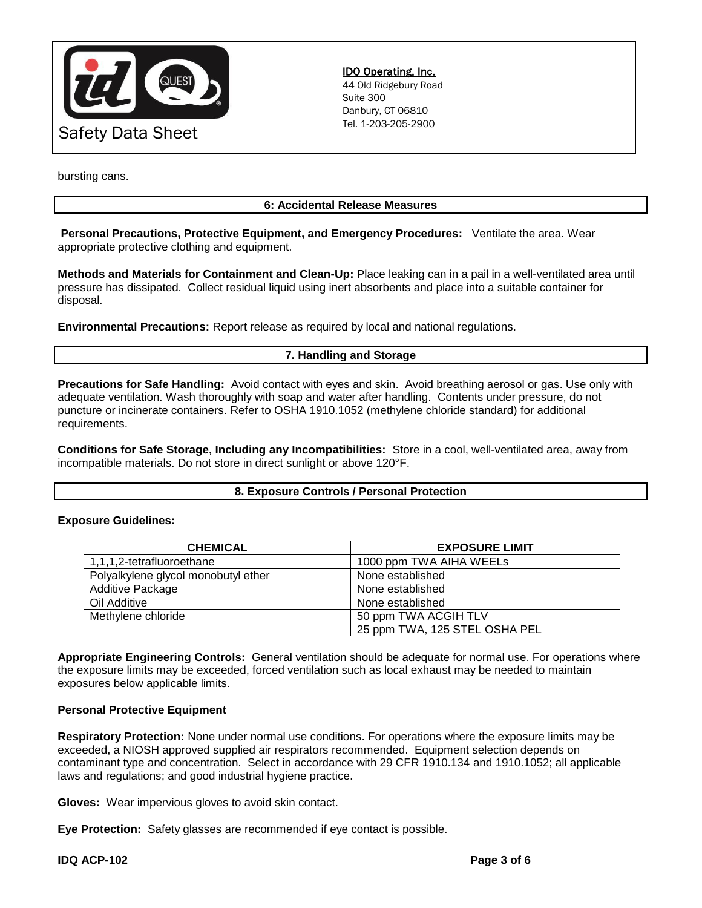

bursting cans.

# **6: Accidental Release Measures**

**Personal Precautions, Protective Equipment, and Emergency Procedures:** Ventilate the area. Wear appropriate protective clothing and equipment.

**Methods and Materials for Containment and Clean-Up:** Place leaking can in a pail in a well-ventilated area until pressure has dissipated. Collect residual liquid using inert absorbents and place into a suitable container for disposal.

**Environmental Precautions:** Report release as required by local and national regulations.

# **7. Handling and Storage**

**Precautions for Safe Handling:** Avoid contact with eyes and skin. Avoid breathing aerosol or gas. Use only with adequate ventilation. Wash thoroughly with soap and water after handling. Contents under pressure, do not puncture or incinerate containers. Refer to OSHA 1910.1052 (methylene chloride standard) for additional requirements.

**Conditions for Safe Storage, Including any Incompatibilities:** Store in a cool, well-ventilated area, away from incompatible materials. Do not store in direct sunlight or above 120°F.

#### **8. Exposure Controls / Personal Protection**

## **Exposure Guidelines:**

| <b>CHEMICAL</b>                     | <b>EXPOSURE LIMIT</b>         |
|-------------------------------------|-------------------------------|
| 1,1,1,2-tetrafluoroethane           | 1000 ppm TWA AIHA WEELS       |
| Polyalkylene glycol monobutyl ether | None established              |
| Additive Package                    | None established              |
| Oil Additive                        | None established              |
| Methylene chloride                  | 50 ppm TWA ACGIH TLV          |
|                                     | 25 ppm TWA, 125 STEL OSHA PEL |

**Appropriate Engineering Controls:** General ventilation should be adequate for normal use. For operations where the exposure limits may be exceeded, forced ventilation such as local exhaust may be needed to maintain exposures below applicable limits.

## **Personal Protective Equipment**

**Respiratory Protection:** None under normal use conditions. For operations where the exposure limits may be exceeded, a NIOSH approved supplied air respirators recommended. Equipment selection depends on contaminant type and concentration. Select in accordance with 29 CFR 1910.134 and 1910.1052; all applicable laws and regulations; and good industrial hygiene practice.

**Gloves:** Wear impervious gloves to avoid skin contact.

**Eye Protection:** Safety glasses are recommended if eye contact is possible.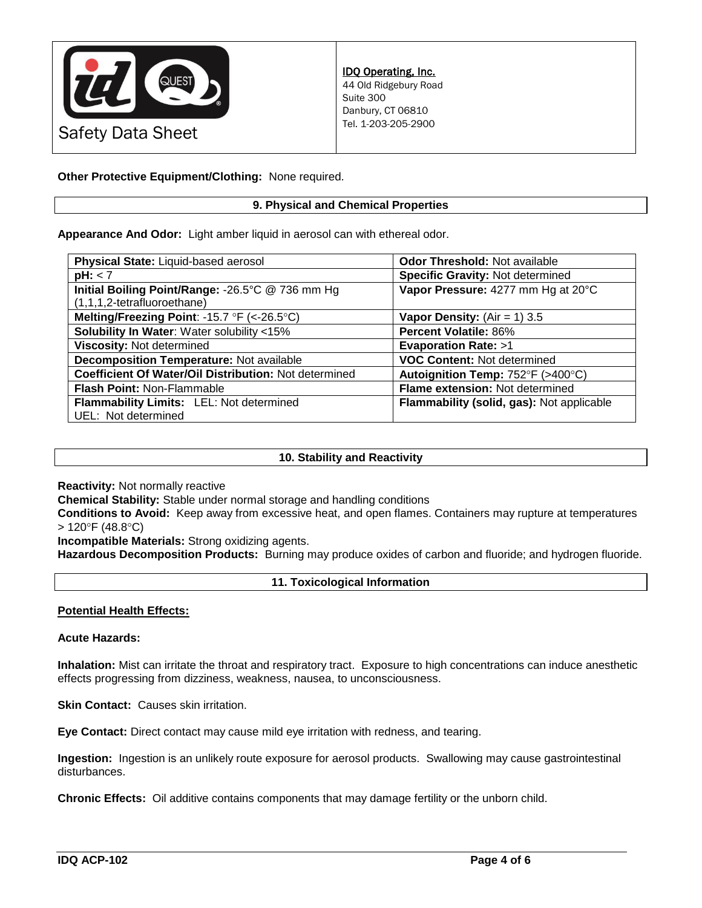

**Other Protective Equipment/Clothing:** None required.

# **9. Physical and Chemical Properties**

**Appearance And Odor:** Light amber liquid in aerosol can with ethereal odor.

| Physical State: Liquid-based aerosol                  | <b>Odor Threshold: Not available</b>      |  |
|-------------------------------------------------------|-------------------------------------------|--|
| pH: < 7                                               | <b>Specific Gravity: Not determined</b>   |  |
| Initial Boiling Point/Range: -26.5°C @ 736 mm Hg      | Vapor Pressure: 4277 mm Hg at 20°C        |  |
| (1,1,1,2-tetrafluoroethane)                           |                                           |  |
| Melting/Freezing Point: -15.7 °F (<-26.5 °C)          | <b>Vapor Density:</b> (Air = 1) 3.5       |  |
| <b>Solubility In Water: Water solubility &lt;15%</b>  | <b>Percent Volatile: 86%</b>              |  |
| Viscosity: Not determined                             | <b>Evaporation Rate: &gt;1</b>            |  |
| Decomposition Temperature: Not available              | <b>VOC Content: Not determined</b>        |  |
| Coefficient Of Water/Oil Distribution: Not determined | Autoignition Temp: 752°F (>400°C)         |  |
| <b>Flash Point: Non-Flammable</b>                     | Flame extension: Not determined           |  |
| Flammability Limits: LEL: Not determined              | Flammability (solid, gas): Not applicable |  |
| UEL: Not determined                                   |                                           |  |

# **10. Stability and Reactivity**

**Reactivity:** Not normally reactive

**Chemical Stability:** Stable under normal storage and handling conditions

**Conditions to Avoid:** Keep away from excessive heat, and open flames. Containers may rupture at temperatures  $> 120^{\circ}$ F (48.8 $^{\circ}$ C)

**Incompatible Materials:** Strong oxidizing agents.

**Hazardous Decomposition Products:** Burning may produce oxides of carbon and fluoride; and hydrogen fluoride.

## **11. Toxicological Information**

## **Potential Health Effects:**

**Acute Hazards:**

**Inhalation:** Mist can irritate the throat and respiratory tract. Exposure to high concentrations can induce anesthetic effects progressing from dizziness, weakness, nausea, to unconsciousness.

**Skin Contact:** Causes skin irritation.

**Eye Contact:** Direct contact may cause mild eye irritation with redness, and tearing.

**Ingestion:** Ingestion is an unlikely route exposure for aerosol products. Swallowing may cause gastrointestinal disturbances.

**Chronic Effects:** Oil additive contains components that may damage fertility or the unborn child.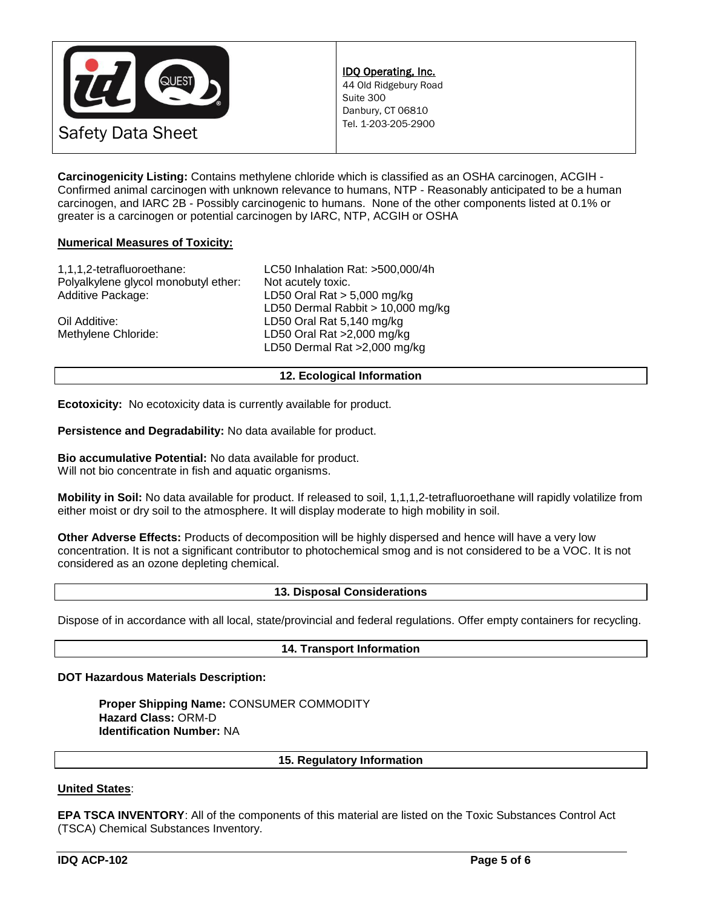

**Carcinogenicity Listing:** Contains methylene chloride which is classified as an OSHA carcinogen, ACGIH - Confirmed animal carcinogen with unknown relevance to humans, NTP - Reasonably anticipated to be a human carcinogen, and IARC 2B - Possibly carcinogenic to humans. None of the other components listed at 0.1% or greater is a carcinogen or potential carcinogen by IARC, NTP, ACGIH or OSHA

# **Numerical Measures of Toxicity:**

| 1,1,1,2-tetrafluoroethane:           | LC50 Inhalation Rat: >500,000/4h  |
|--------------------------------------|-----------------------------------|
| Polyalkylene glycol monobutyl ether: | Not acutely toxic.                |
| Additive Package:                    | LD50 Oral Rat $> 5,000$ mg/kg     |
|                                      | LD50 Dermal Rabbit > 10,000 mg/kg |
| Oil Additive:                        | LD50 Oral Rat 5,140 mg/kg         |
| Methylene Chloride:                  | LD50 Oral Rat >2,000 mg/kg        |
|                                      | LD50 Dermal Rat >2,000 mg/kg      |
|                                      |                                   |

**12. Ecological Information**

**Ecotoxicity:** No ecotoxicity data is currently available for product.

**Persistence and Degradability:** No data available for product.

**Bio accumulative Potential:** No data available for product. Will not bio concentrate in fish and aquatic organisms.

**Mobility in Soil:** No data available for product. If released to soil, 1,1,1,2-tetrafluoroethane will rapidly volatilize from either moist or dry soil to the atmosphere. It will display moderate to high mobility in soil.

**Other Adverse Effects:** Products of decomposition will be highly dispersed and hence will have a very low concentration. It is not a significant contributor to photochemical smog and is not considered to be a VOC. It is not considered as an ozone depleting chemical.

## **13. Disposal Considerations**

Dispose of in accordance with all local, state/provincial and federal regulations. Offer empty containers for recycling.

## **14. Transport Information**

#### **DOT Hazardous Materials Description:**

**Proper Shipping Name:** CONSUMER COMMODITY **Hazard Class:** ORM-D **Identification Number:** NA

**15. Regulatory Information**

## **United States**:

**EPA TSCA INVENTORY**: All of the components of this material are listed on the Toxic Substances Control Act (TSCA) Chemical Substances Inventory.